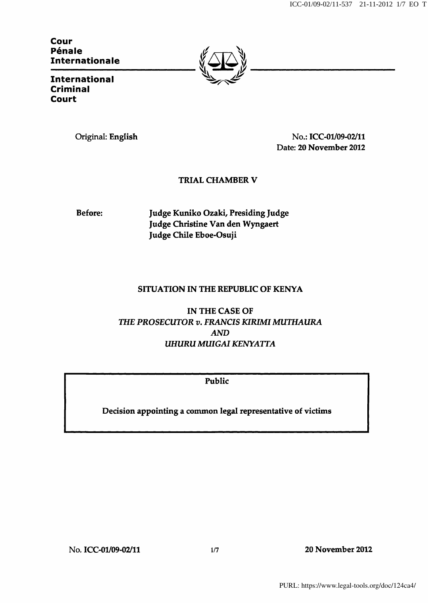ICC-01/09-02/11-537 21-11-2012 1/7 EO T

Cour Pénale **Internationale** 



**International** Criminal Court

Original: English No.: ICC-01/09-02/11 Date: 20 November 2012

## TRIAL CHAMBER V

Before: Judge Kuniko Ozaki, Presiding Judge Judge Christine Van den Wyngaert Judge Chile Eboe-Osuji

## SITUATION IN THE REPUBLIC OF KENYA

IN THE CASE OF THE PROSECUTOR v. FRANCIS KIRIMI MUTHAURA AND UHURU MUIGAI KENYATTA

Public

Decision appointing a common legal representative of victims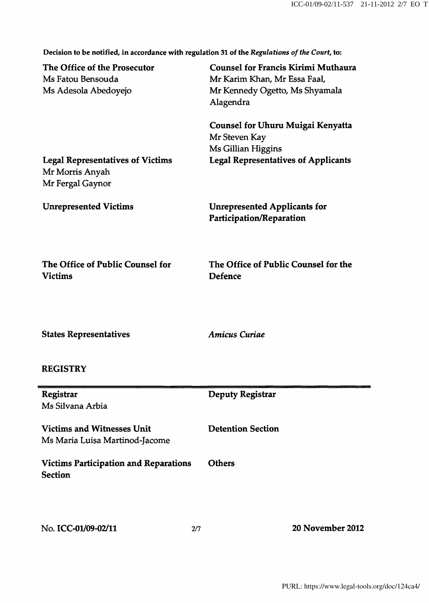Decision to be notified, in accordance with regulation 31 of the Regulations of the Court, to:

| The Office of the Prosecutor<br>Ms Fatou Bensouda<br>Ms Adesola Abedoyejo      | <b>Counsel for Francis Kirimi Muthaura</b><br>Mr Karim Khan, Mr Essa Faal,<br>Mr Kennedy Ogetto, Ms Shyamala<br>Alagendra |
|--------------------------------------------------------------------------------|---------------------------------------------------------------------------------------------------------------------------|
|                                                                                | <b>Counsel for Uhuru Muigai Kenyatta</b><br>Mr Steven Kay<br>Ms Gillian Higgins                                           |
| <b>Legal Representatives of Victims</b><br>Mr Morris Anyah<br>Mr Fergal Gaynor | <b>Legal Representatives of Applicants</b>                                                                                |
| <b>Unrepresented Victims</b>                                                   | <b>Unrepresented Applicants for</b><br><b>Participation/Reparation</b>                                                    |
| The Office of Public Counsel for<br><b>Victims</b>                             | The Office of Public Counsel for the<br><b>Defence</b>                                                                    |
| <b>States Representatives</b>                                                  | <b>Amicus Curiae</b>                                                                                                      |
| <b>REGISTRY</b>                                                                |                                                                                                                           |
| Registrar<br>Ms Silvana Arbia                                                  | <b>Deputy Registrar</b>                                                                                                   |
| <b>Victims and Witnesses Unit</b><br>Ms Maria Luisa Martinod-Jacome            | <b>Detention Section</b>                                                                                                  |
| <b>Victims Participation and Reparations</b><br><b>Section</b>                 | <b>Others</b>                                                                                                             |
| No. ICC-01/09-02/11<br>2/7                                                     | 20 November 2012                                                                                                          |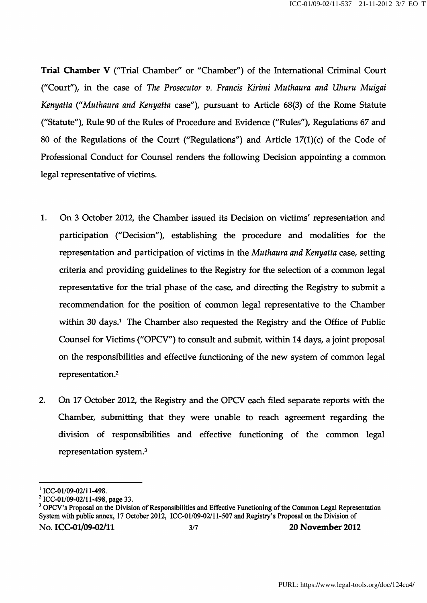Trial Chamber V ('Trial Chamber'' or "Chamber") of the International Criminal Court ("Court"), in the case of The Prosecutor v, Francis Kirimi Muthaura and Uhuru Muigai Kenyatta {"Muthaura and Kenyatta case"), pursuant to Article 68(3) of the Rome Statute ("Statute"), Rule 90 of the Rules of Procedure and Evidence ("Rules"), Regulations 67 and 80 of the Regulations of the Court ("Regulations") and Article  $17(1)(c)$  of the Code of Professional Conduct for Counsel renders the following Decision appointing a common legal representative of victims.

- 1. On 3 October 2012, the Chamber issued its Decision on victims' representation and participation ("Decision"), establishing the procedure and modalities for the representation and participation of victims in the Muthaura and Kenyatta case, setting criteria and providing guidelines to the Registry for the selection of a common legal representative for the trial phase of the case, and directing the Registry to submit a recommendation for the position of common legal representative to the Chamber within 30 days.<sup>1</sup> The Chamber also requested the Registry and the Office of Public Counsel for Victims ("OPCV") to consult and submit, within 14 days, a joint proposal on the responsibilities and effective functioning of the new system of common legal representation.<sup>2</sup>
- 2. On 17 October 2012, the Registry and the OPCV each filed separate reports with the Chamber, submitting that they were unable to reach agreement regarding the division of responsibilities and effective functioning of the common legal representation system.<sup>3</sup>

 $<sup>1</sup>$  ICC-01/09-02/11-498.</sup>

 $^{2}$  ICC-01/09-02/11-498, page 33.

<sup>&</sup>lt;sup>3</sup> OPCV's Proposal on the Division of Responsibilities and Effective Functioning of the Common Legal Representation System with public annex, 17 October 2012, ICC-01/09-02/11-507 and Registry's Proposal on the Division of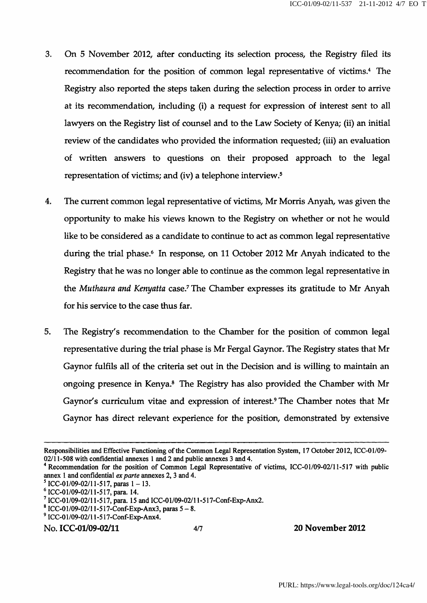- 3. On 5 November 2012, after conducting its selection process, the Registry filed its recommendation for the position of common legal representative of victims.<sup>4</sup> The Registry also reported the steps taken during the selection process in order to arrive at its recommendation, including (i) a request for expression of interest sent to all lawyers on the Registry list of counsel and to the Law Society of Kenya; (ii) an initial review of the candidates who provided the information requested; (iii) an evaluation of written answers to questions on their proposed approach to the legal representation of victims; and (iv) a telephone interview.<sup>5</sup>
- 4. The current common legal representative of victims, Mr Morris Anyah, was given the opportunity to make his views known to the Registry on whether or not he would like to be considered as a candidate to continue to act as common legal representative during the trial phase.<sup>6</sup> In response, on 11 October 2012 Mr Anyah indicated to the Registry that he was no longer able to continue as the common legal representative in the Muthaura and Kenyatta case.<sup>7</sup> The Chamber expresses its gratitude to Mr Anyah for his service to the case thus far.
- 5. The Registry's recommendation to the Chamber for the position of common legal representative during the trial phase is Mr Fergal Gaynor. The Registry states that Mr Gaynor fulfils all of the criteria set out in the Decision and is willing to maintain an ongoing presence in Kenya.<sup>8</sup> The Registry has also provided the Chamber with Mr Gaynor's curriculum vitae and expression of interest.<sup>9</sup> The Chamber notes that Mr Gaynor has direct relevant experience for the position, demonstrated by extensive

No. ICC-01/09-02/11 4/7 20 November 2012

Responsibilities and Effective Functioning of the Common Legal Representation System, 17 October 2012, ICC-01/09- 02/11-508 with confidential annexes 1 and 2 and public annexes 3 and 4.

<sup>&</sup>lt;sup>4</sup> Recommendation for the position of Common Legal Representative of victims, ICC-01/09-02/11-517 with public annex 1 and confidential ex parte annexes 2, 3 and 4.

 $\Gamma$  ICC-01/09-02/11-517, paras 1 - 13.

 $6$  ICC-01/09-02/11-517, para. 14.

<sup>^</sup> ICC-01/09-02/11-517, para. 15 and ICC-01/09-02/1 l-517-Conf-Exp-Anx2.

 $8$  ICC-01/09-02/11-517-Conf-Exp-Anx3, paras  $5-8$ .

<sup>^</sup> ICC-01/09-02/1 l-517-Conf-Exp-Anx4.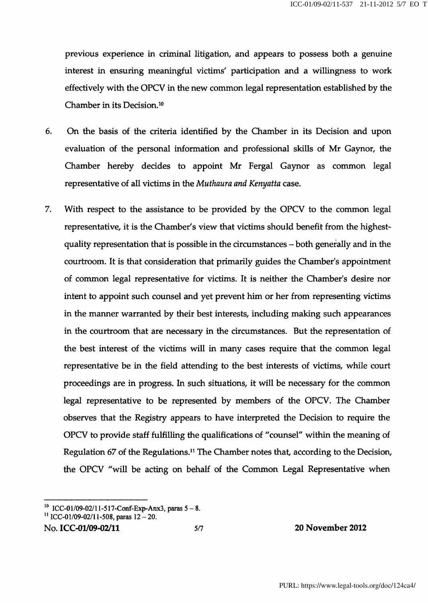previous experience in criminal litigation, and appears to possess both a genuine interest in ensuring meaningful victims' participation and a willingness to work effectively with the OPCV in the new common legal representation established by the Chamber in its Decision.<sup>10</sup>

- 6. On the basis of the criteria identified by the Chamber in its Decision and upon evaluation of the personal information and professional skills of Mr Gaynor, the Chamber hereby decides to appoint Mr Fergal Gaynor as common legal representative of all victims in the Muthaura and Kenyatta case.
- 7. With respect to the assistance to be provided by the OPCV to the common legal representative, it is the Chamber's view that victims should benefit from the highestquality representation that is possible in the circumstances - both generally and in the courtroom. It is that consideration that primarily guides the Chamber's appointment of common legal representative for victims. It is neither the Chamber's desire nor intent to appoint such counsel and yet prevent him or her from representing victims in the manner warranted by their best interests, including making such appearances in the courtroom that are necessary in the circumstances. But the representation of the best interest of the victims will in many cases require that the common legal representative be in the field attending to the best interests of victims, while court proceedings are in progress. In such situations, it will be necessary for the common legal representative to be represented by members of the OPCV. The Chamber observes that the Registry appears to have interpreted the Decision to require the OPCV to provide staff fulfilling the qualifications of "counsel" within the meaning of Regulation 67 of the Regulations.<sup>11</sup> The Chamber notes that, according to the Decision, the OPCV "will be acting on behalf of the Common Legal Representative when

```
No. ICC-01/09-02/11 5/7 20 November 2012
```
<sup>&</sup>lt;sup>10</sup> ICC-01/09-02/11-517-Conf-Exp-Anx3, paras  $5-8$ .

<sup>&</sup>lt;sup>11</sup> ICC-01/09-02/11-508, paras  $12 - 20$ .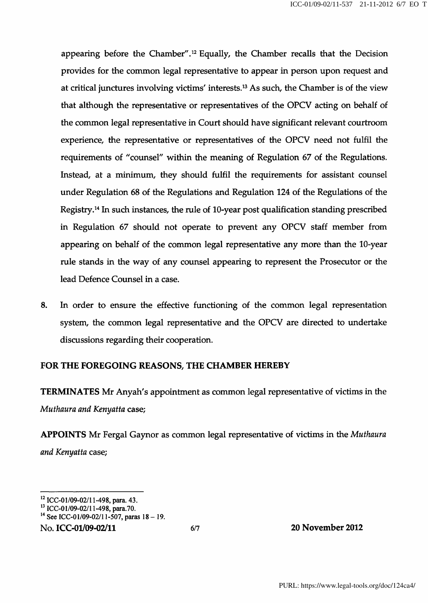appearing before the Chamber".<sup>12</sup> Equally, the Chamber recalls that the Decision provides for the common legal representative to appear in person upon request and at critical junctures involving victims' interests.<sup>13</sup> As such, the Chamber is of the view that although the representative or representatives of the OPCV acting on behalf of the common legal representative in Court should have significant relevant courtroom experience, the representative or representatives of the OPCV need not fulfil the requirements of "counsel" within the meaning of Regulation 67 of the Regulations. Instead, at a minimum, they should fulfil the requirements for assistant counsel under Regulation 68 of the Regulations and Regulation 124 of the Regulations of the Registry.<sup>14</sup> In such instances, the rule of 10-year post qualification standing prescribed in Regulation 67 should not operate to prevent any OPCV staff member from appearing on behalf of the common legal representative any more than the 10-year rule stands in the way of any counsel appearing to represent the Prosecutor or the lead Defence Counsel in a case.

8. In order to ensure the effective functioning of the common legal representation system, the common legal representative and the OPCV are directed to undertake discussions regarding their cooperation.

## FOR THE FOREGOING REASONS, THE CHAMBER HEREBY

TERMINATES Mr Anyah's appointment as common legal representative of victims in the Muthaura and Kenyatta case;

APPOINTS Mr Fergal Gaynor as common legal representative of victims in the Muthaura and Kenyatta case;

No. ICC-01/09-02/11 6/7 20 November 2012

 $^{12}$  ICC-01/09-02/11-498, para. 43.

<sup>&</sup>lt;sup>13</sup> ICC-01/09-02/11-498, para.70.

<sup>&</sup>lt;sup>14</sup> See ICC-01/09-02/11-507, paras 18 - 19.